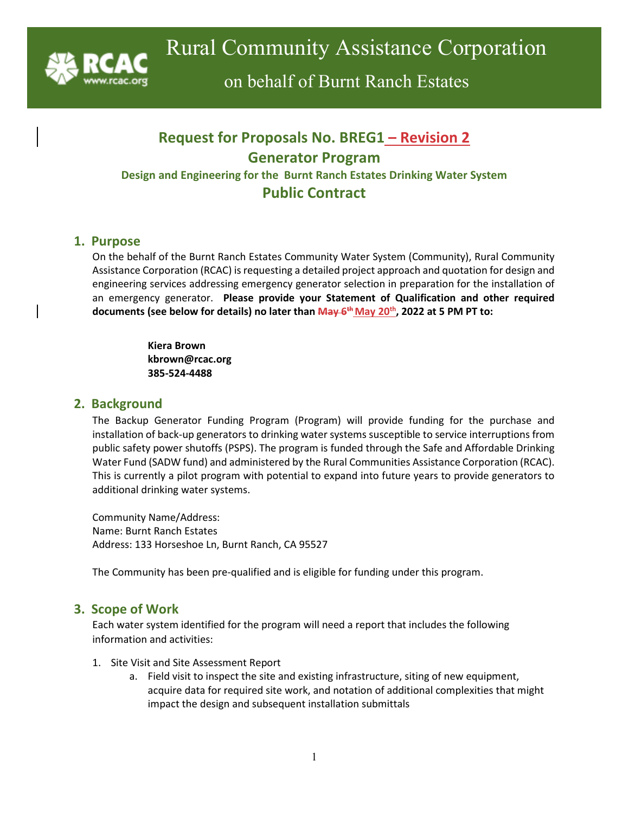

on behalf of Burnt Ranch Estates

# **Request for Proposals No. BREG1 – Revision 2 Generator Program Design and Engineering for the Burnt Ranch Estates Drinking Water System Public Contract**

### **1. Purpose**

On the behalf of the Burnt Ranch Estates Community Water System (Community), Rural Community Assistance Corporation (RCAC) is requesting a detailed project approach and quotation for design and engineering services addressing emergency generator selection in preparation for the installation of an emergency generator. **Please provide your Statement of Qualification and other required documents (see below for details) no later than May 6th May 20th, 2022 at 5 PM PT to:**

> **Kiera Brown kbrown@rcac.org 385-524-4488**

### **2. Background**

The Backup Generator Funding Program (Program) will provide funding for the purchase and installation of back-up generators to drinking water systems susceptible to service interruptions from public safety power shutoffs (PSPS). The program is funded through the Safe and Affordable Drinking Water Fund (SADW fund) and administered by the Rural Communities Assistance Corporation (RCAC). This is currently a pilot program with potential to expand into future years to provide generators to additional drinking water systems.

Community Name/Address: Name: Burnt Ranch Estates Address: 133 Horseshoe Ln, Burnt Ranch, CA 95527

The Community has been pre-qualified and is eligible for funding under this program.

### **3. Scope of Work**

Each water system identified for the program will need a report that includes the following information and activities:

- 1. Site Visit and Site Assessment Report
	- a. Field visit to inspect the site and existing infrastructure, siting of new equipment, acquire data for required site work, and notation of additional complexities that might impact the design and subsequent installation submittals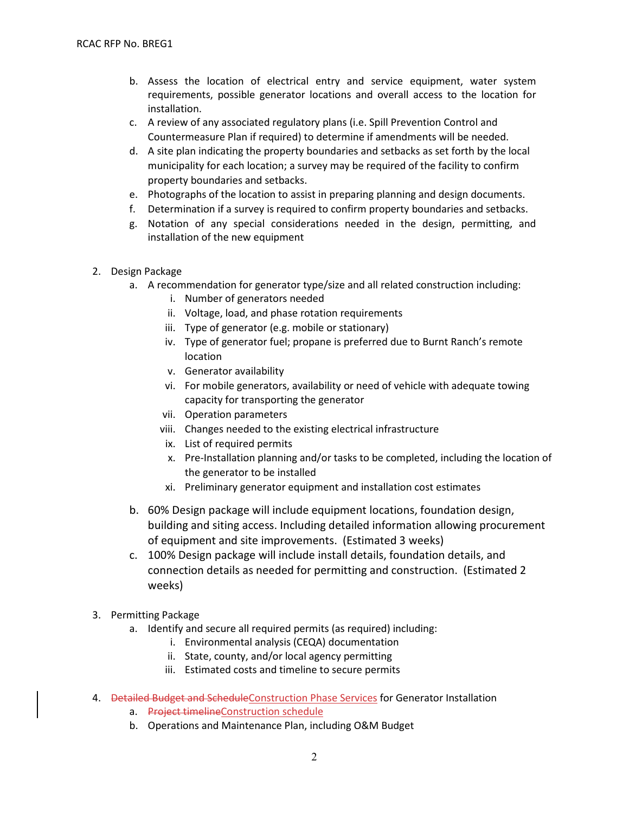- b. Assess the location of electrical entry and service equipment, water system requirements, possible generator locations and overall access to the location for installation.
- c. A review of any associated regulatory plans (i.e. Spill Prevention Control and Countermeasure Plan if required) to determine if amendments will be needed.
- d. A site plan indicating the property boundaries and setbacks as set forth by the local municipality for each location; a survey may be required of the facility to confirm property boundaries and setbacks.
- e. Photographs of the location to assist in preparing planning and design documents.
- f. Determination if a survey is required to confirm property boundaries and setbacks.
- g. Notation of any special considerations needed in the design, permitting, and installation of the new equipment
- 2. Design Package
	- a. A recommendation for generator type/size and all related construction including:
		- i. Number of generators needed
		- ii. Voltage, load, and phase rotation requirements
		- iii. Type of generator (e.g. mobile or stationary)
		- iv. Type of generator fuel; propane is preferred due to Burnt Ranch's remote location
		- v. Generator availability
		- vi. For mobile generators, availability or need of vehicle with adequate towing capacity for transporting the generator
		- vii. Operation parameters
		- viii. Changes needed to the existing electrical infrastructure
		- ix. List of required permits
		- x. Pre-Installation planning and/or tasks to be completed, including the location of the generator to be installed
		- xi. Preliminary generator equipment and installation cost estimates
	- b. 60% Design package will include equipment locations, foundation design, building and siting access. Including detailed information allowing procurement of equipment and site improvements. (Estimated 3 weeks)
	- c. 100% Design package will include install details, foundation details, and connection details as needed for permitting and construction. (Estimated 2 weeks)
- 3. Permitting Package
	- a. Identify and secure all required permits (as required) including:
		- i. Environmental analysis (CEQA) documentation
		- ii. State, county, and/or local agency permitting
		- iii. Estimated costs and timeline to secure permits
- 4. Detailed Budget and Schedule Construction Phase Services for Generator Installation
	- a. Project timelineConstruction schedule
	- b. Operations and Maintenance Plan, including O&M Budget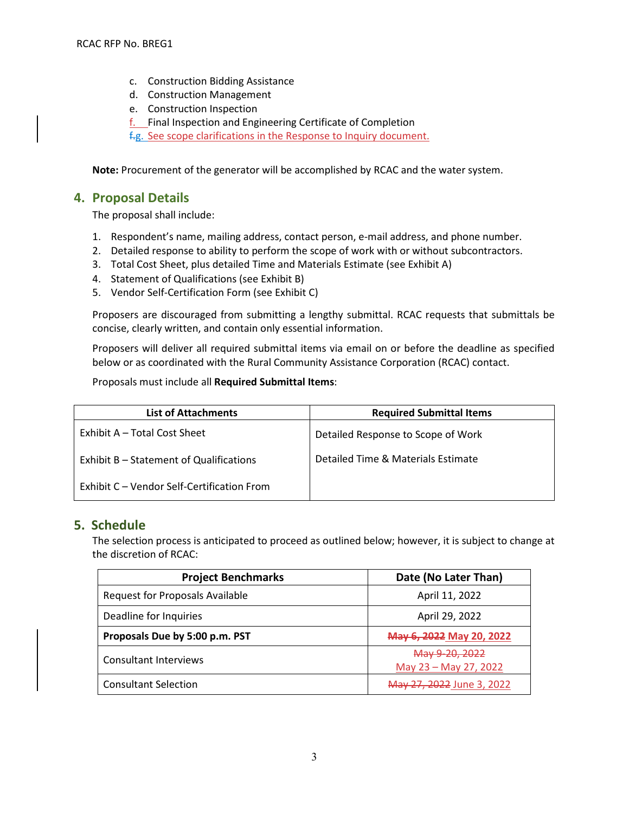- c. Construction Bidding Assistance
- d. Construction Management
- e. Construction Inspection
- f. Final Inspection and Engineering Certificate of Completion

f.g. See scope clarifications in the Response to Inquiry document.

**Note:** Procurement of the generator will be accomplished by RCAC and the water system.

### **4. Proposal Details**

The proposal shall include:

- 1. Respondent's name, mailing address, contact person, e-mail address, and phone number.
- 2. Detailed response to ability to perform the scope of work with or without subcontractors.
- 3. Total Cost Sheet, plus detailed Time and Materials Estimate (see Exhibit A)
- 4. Statement of Qualifications (see Exhibit B)
- 5. Vendor Self-Certification Form (see Exhibit C)

Proposers are discouraged from submitting a lengthy submittal. RCAC requests that submittals be concise, clearly written, and contain only essential information.

Proposers will deliver all required submittal items via email on or before the deadline as specified below or as coordinated with the Rural Community Assistance Corporation (RCAC) contact.

Proposals must include all **Required Submittal Items**:

| <b>List of Attachments</b>                 | <b>Required Submittal Items</b>    |  |
|--------------------------------------------|------------------------------------|--|
| Exhibit A – Total Cost Sheet               | Detailed Response to Scope of Work |  |
| Exhibit B - Statement of Qualifications    | Detailed Time & Materials Estimate |  |
| Exhibit C – Vendor Self-Certification From |                                    |  |

### **5. Schedule**

The selection process is anticipated to proceed as outlined below; however, it is subject to change at the discretion of RCAC:

| <b>Project Benchmarks</b>              | Date (No Later Than)                    |
|----------------------------------------|-----------------------------------------|
| <b>Request for Proposals Available</b> | April 11, 2022                          |
| Deadline for Inquiries                 | April 29, 2022                          |
| Proposals Due by 5:00 p.m. PST         | May 6, 2022 May 20, 2022                |
| <b>Consultant Interviews</b>           | May 9-20, 2022<br>May 23 - May 27, 2022 |
| <b>Consultant Selection</b>            | May 27, 2022 June 3, 2022               |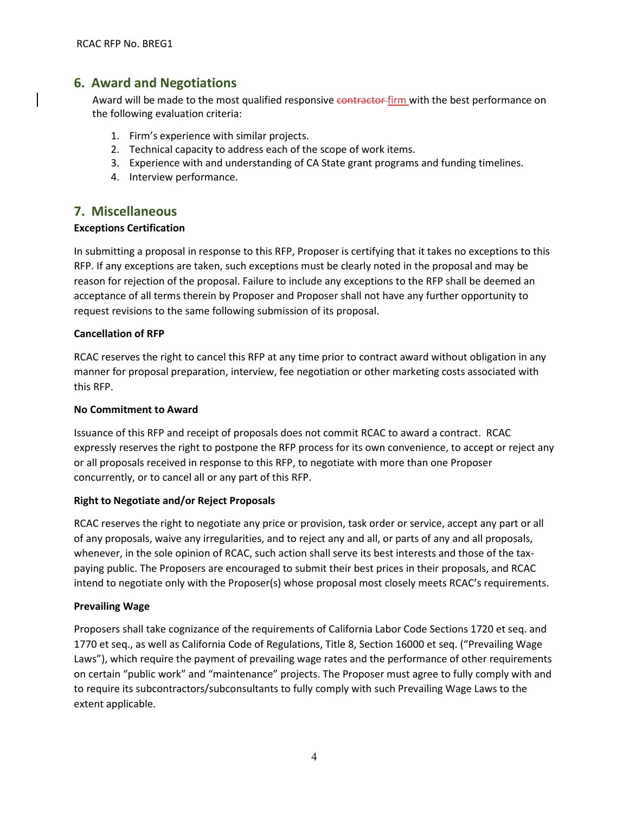### **6. Award and Negotiations**

Award will be made to the most qualified responsive contractor firm with the best performance on the following evaluation criteria:

- 1. Firm's experience with similar projects.
- 2. Technical capacity to address each of the scope of work items.
- 3. Experience with and understanding of CA State grant programs and funding timelines.
- 4. Interview performance.

### **7. Miscellaneous**

#### **Exceptions Certification**

In submitting a proposal in response to this RFP, Proposer is certifying that it takes no exceptions to this RFP. If any exceptions are taken, such exceptions must be clearly noted in the proposal and may be reason for rejection of the proposal. Failure to include any exceptions to the RFP shall be deemed an acceptance of all terms therein by Proposer and Proposer shall not have any further opportunity to request revisions to the same following submission of its proposal.

#### **Cancellation of RFP**

RCAC reserves the right to cancel this RFP at any time prior to contract award without obligation in any manner for proposal preparation, interview, fee negotiation or other marketing costs associated with this RFP.

#### **No Commitment to Award**

Issuance of this RFP and receipt of proposals does not commit RCAC to award a contract. RCAC expressly reserves the right to postpone the RFP process for its own convenience, to accept or reject any or all proposals received in response to this RFP, to negotiate with more than one Proposer concurrently, or to cancel all or any part of this RFP.

#### **Right to Negotiate and/or Reject Proposals**

RCAC reserves the right to negotiate any price or provision, task order or service, accept any part or all of any proposals, waive any irregularities, and to reject any and all, or parts of any and all proposals, whenever, in the sole opinion of RCAC, such action shall serve its best interests and those of the taxpaying public. The Proposers are encouraged to submit their best prices in their proposals, and RCAC intend to negotiate only with the Proposer(s) whose proposal most closely meets RCAC's requirements.

#### **Prevailing Wage**

Proposers shall take cognizance of the requirements of California Labor Code Sections 1720 et seq. and 1770 et seq., as well as California Code of Regulations, Title 8, Section 16000 et seq. ("Prevailing Wage Laws"), which require the payment of prevailing wage rates and the performance of other requirements on certain "public work" and "maintenance" projects. The Proposer must agree to fully comply with and to require its subcontractors/subconsultants to fully comply with such Prevailing Wage Laws to the extent applicable.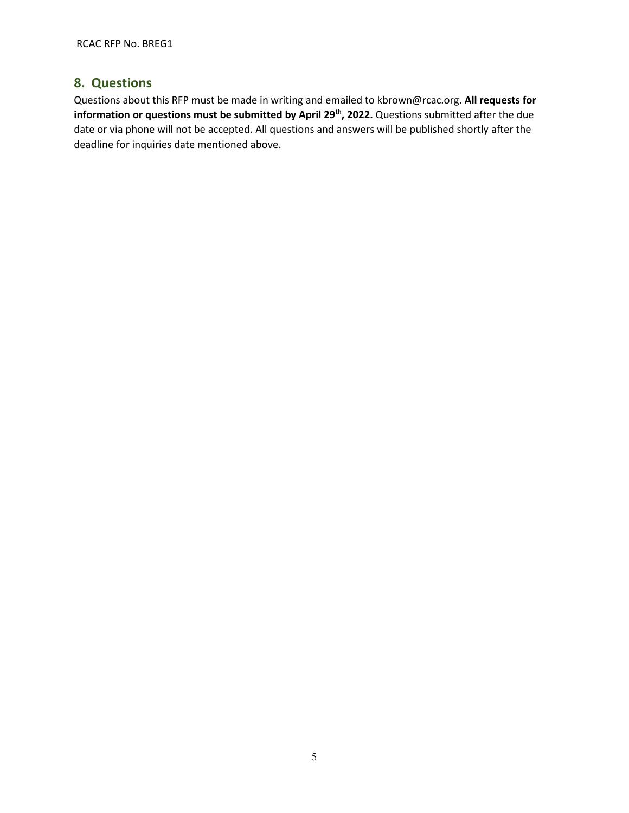# **8. Questions**

Questions about this RFP must be made in writing and emailed to kbrown@rcac.org. **All requests for information or questions must be submitted by April 29th, 2022.** Questions submitted after the due date or via phone will not be accepted. All questions and answers will be published shortly after the deadline for inquiries date mentioned above.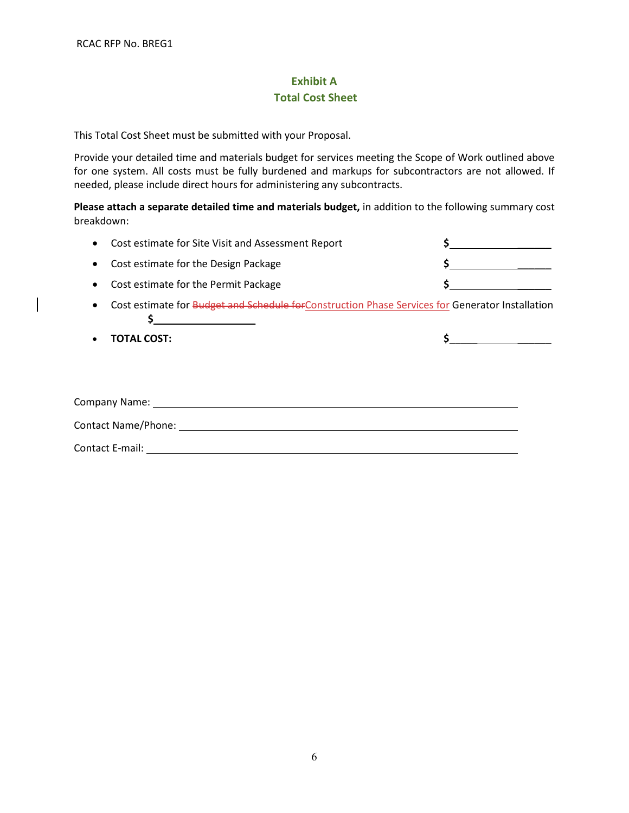# **Exhibit A Total Cost Sheet**

This Total Cost Sheet must be submitted with your Proposal.

Provide your detailed time and materials budget for services meeting the Scope of Work outlined above for one system. All costs must be fully burdened and markups for subcontractors are not allowed. If needed, please include direct hours for administering any subcontracts.

**Please attach a separate detailed time and materials budget,** in addition to the following summary cost breakdown:

| • Cost estimate for Site Visit and Assessment Report |  |
|------------------------------------------------------|--|
| • Cost estimate for the Design Package               |  |
| • Cost estimate for the Permit Package               |  |

- Cost estimate for Budget and Schedule for Construction Phase Services for Generator Installation **\$** \_\_\_\_\_\_
- 

**TOTAL COST: \$**\_\_\_\_\_\_\_\_\_\_\_

| Company Name:       |  |
|---------------------|--|
| Contact Name/Phone: |  |
| Contact E-mail:     |  |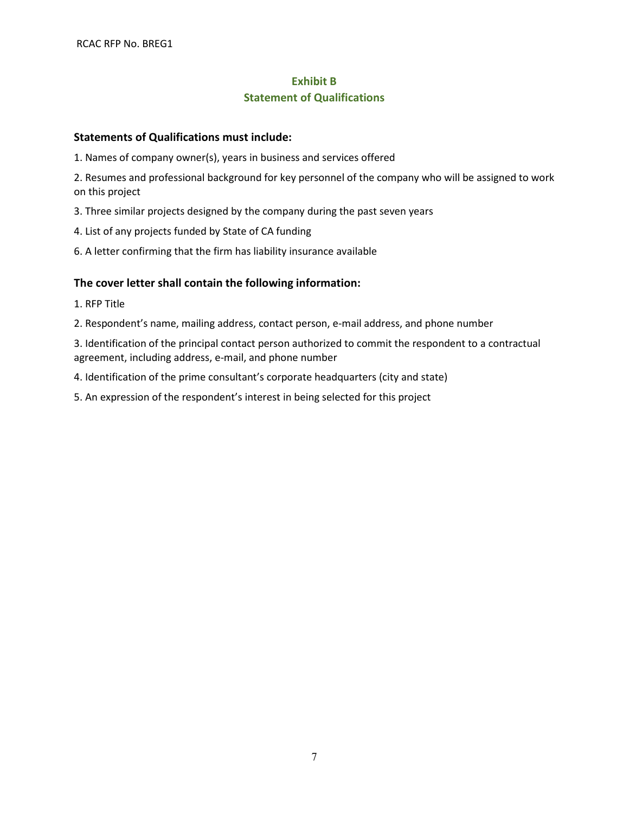# **Exhibit B Statement of Qualifications**

### **Statements of Qualifications must include:**

1. Names of company owner(s), years in business and services offered

2. Resumes and professional background for key personnel of the company who will be assigned to work on this project

3. Three similar projects designed by the company during the past seven years

4. List of any projects funded by State of CA funding

6. A letter confirming that the firm has liability insurance available

### **The cover letter shall contain the following information:**

1. RFP Title

2. Respondent's name, mailing address, contact person, e-mail address, and phone number

3. Identification of the principal contact person authorized to commit the respondent to a contractual agreement, including address, e-mail, and phone number

4. Identification of the prime consultant's corporate headquarters (city and state)

5. An expression of the respondent's interest in being selected for this project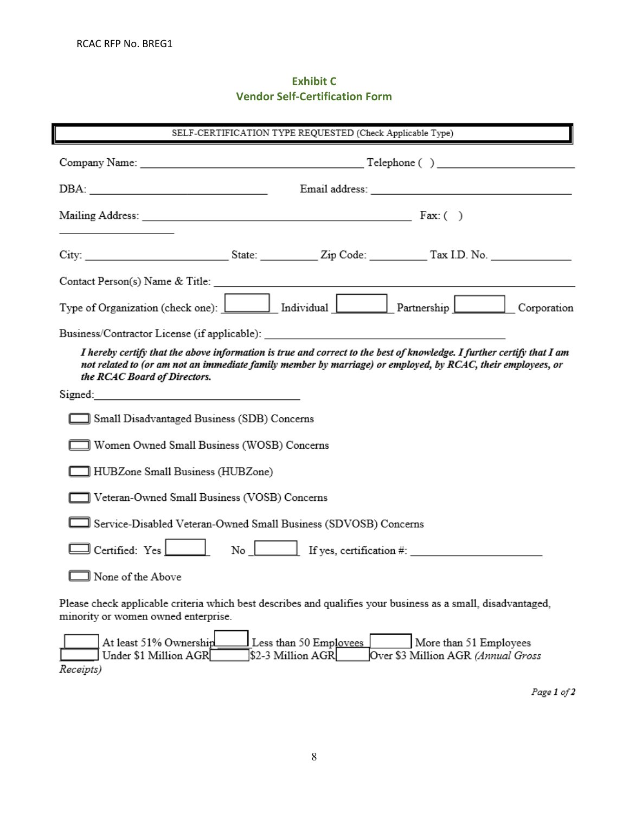# **Exhibit C Vendor Self-Certification Form**

| SELF-CERTIFICATION TYPE REQUESTED (Check Applicable Type)       |                                                |                                             |                                                                                                                                                                                                                                      |  |
|-----------------------------------------------------------------|------------------------------------------------|---------------------------------------------|--------------------------------------------------------------------------------------------------------------------------------------------------------------------------------------------------------------------------------------|--|
|                                                                 |                                                |                                             |                                                                                                                                                                                                                                      |  |
|                                                                 |                                                |                                             |                                                                                                                                                                                                                                      |  |
|                                                                 |                                                |                                             |                                                                                                                                                                                                                                      |  |
|                                                                 |                                                |                                             |                                                                                                                                                                                                                                      |  |
|                                                                 |                                                |                                             |                                                                                                                                                                                                                                      |  |
|                                                                 |                                                |                                             |                                                                                                                                                                                                                                      |  |
| Business/Contractor License (if applicable):                    |                                                |                                             |                                                                                                                                                                                                                                      |  |
| the RCAC Board of Directors.                                    |                                                |                                             | I hereby certify that the above information is true and correct to the best of knowledge. I further certify that I am<br>not related to (or am not an immediate family member by marriage) or employed, by RCAC, their employees, or |  |
|                                                                 |                                                |                                             |                                                                                                                                                                                                                                      |  |
|                                                                 | ] Small Disadvantaged Business (SDB) Concerns  |                                             |                                                                                                                                                                                                                                      |  |
|                                                                 | Women Owned Small Business (WOSB) Concerns     |                                             |                                                                                                                                                                                                                                      |  |
|                                                                 | ] HUBZone Small Business (HUBZone)             |                                             |                                                                                                                                                                                                                                      |  |
|                                                                 | ] Veteran-Owned Small Business (VOSB) Concerns |                                             |                                                                                                                                                                                                                                      |  |
| Service-Disabled Veteran-Owned Small Business (SDVOSB) Concerns |                                                |                                             |                                                                                                                                                                                                                                      |  |
| $\exists$ Certified: Yes $\Box$                                 |                                                |                                             | $\begin{array}{c c}\n\hline\n\end{array}$ If yes, certification #:                                                                                                                                                                   |  |
| ∃ None of the Above                                             |                                                |                                             |                                                                                                                                                                                                                                      |  |
| minority or women owned enterprise.                             |                                                |                                             | Please check applicable criteria which best describes and qualifies your business as a small, disadvantaged,                                                                                                                         |  |
| At least 51% Ownership<br>Under \$1 Million AGR<br>Receipts)    |                                                | Less than 50 Employees<br>\$2-3 Million AGR | More than 51 Employees<br>Over \$3 Million AGR (Annual Gross                                                                                                                                                                         |  |

Page  $1$  of  $2$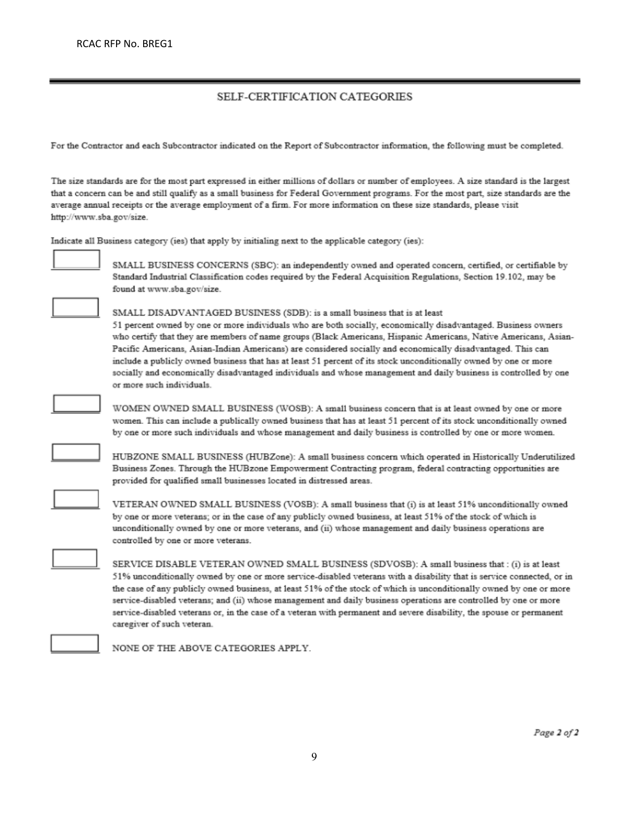#### SELF-CERTIFICATION CATEGORIES

For the Contractor and each Subcontractor indicated on the Report of Subcontractor information, the following must be completed.

The size standards are for the most part expressed in either millions of dollars or number of employees. A size standard is the largest that a concern can be and still qualify as a small business for Federal Government programs. For the most part, size standards are the average annual receipts or the average employment of a firm. For more information on these size standards, please visit http://www.sba.gov/size.

Indicate all Business category (ies) that apply by initialing next to the applicable category (ies):



SMALL BUSINESS CONCERNS (SBC): an independently owned and operated concern, certified, or certifiable by Standard Industrial Classification codes required by the Federal Acquisition Regulations, Section 19.102, may be found at www.sba.gov/size.

#### SMALL DISADVANTAGED BUSINESS (SDB): is a small business that is at least

51 percent owned by one or more individuals who are both socially, economically disadvantaged. Business owners who certify that they are members of name groups (Black Americans, Hispanic Americans, Native Americans, Asian-Pacific Americans, Asian-Indian Americans) are considered socially and economically disadvantaged. This can include a publicly owned business that has at least 51 percent of its stock unconditionally owned by one or more socially and economically disadvantaged individuals and whose management and daily business is controlled by one or more such individuals.



HUBZONE SMALL BUSINESS (HUBZone): A small business concern which operated in Historically Underutilized Business Zones. Through the HUBzone Empowerment Contracting program, federal contracting opportunities are provided for qualified small businesses located in distressed areas.

VETERAN OWNED SMALL BUSINESS (VOSB): A small business that (i) is at least 51% unconditionally owned by one or more veterans; or in the case of any publicly owned business, at least 51% of the stock of which is unconditionally owned by one or more veterans, and (ii) whose management and daily business operations are controlled by one or more veterans.

SERVICE DISABLE VETERAN OWNED SMALL BUSINESS (SDVOSB): A small business that : (i) is at least 51% unconditionally owned by one or more service-disabled veterans with a disability that is service connected, or in the case of any publicly owned business, at least 51% of the stock of which is unconditionally owned by one or more service-disabled veterans; and (ii) whose management and daily business operations are controlled by one or more service-disabled veterans or, in the case of a veteran with permanent and severe disability, the spouse or permanent caregiver of such veteran.

NONE OF THE ABOVE CATEGORIES APPLY.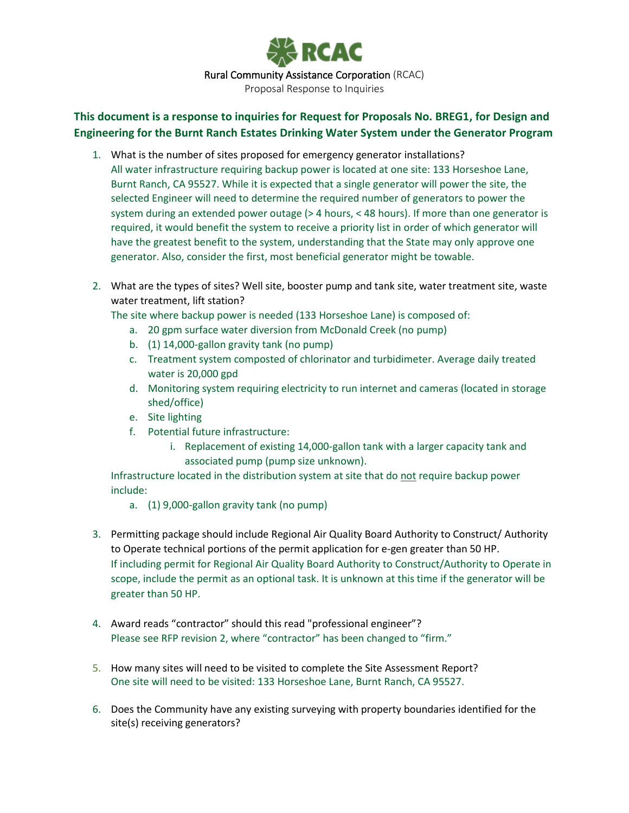

# **This document is a response to inquiries for Request for Proposals No. BREG1, for Design and Engineering for the Burnt Ranch Estates Drinking Water System under the Generator Program**

- 1. What is the number of sites proposed for emergency generator installations? All water infrastructure requiring backup power is located at one site: 133 Horseshoe Lane, Burnt Ranch, CA 95527. While it is expected that a single generator will power the site, the selected Engineer will need to determine the required number of generators to power the system during an extended power outage (> 4 hours, < 48 hours). If more than one generator is required, it would benefit the system to receive a priority list in order of which generator will have the greatest benefit to the system, understanding that the State may only approve one generator. Also, consider the first, most beneficial generator might be towable.
- 2. What are the types of sites? Well site, booster pump and tank site, water treatment site, waste water treatment, lift station?

The site where backup power is needed (133 Horseshoe Lane) is composed of:

- a. 20 gpm surface water diversion from McDonald Creek (no pump)
- b. (1) 14,000-gallon gravity tank (no pump)
- c. Treatment system composted of chlorinator and turbidimeter. Average daily treated water is 20,000 gpd
- d. Monitoring system requiring electricity to run internet and cameras (located in storage shed/office)
- e. Site lighting
- f. Potential future infrastructure:
	- i. Replacement of existing 14,000-gallon tank with a larger capacity tank and associated pump (pump size unknown).

Infrastructure located in the distribution system at site that do not require backup power include:

- a. (1) 9,000-gallon gravity tank (no pump)
- 3. Permitting package should include Regional Air Quality Board Authority to Construct/ Authority to Operate technical portions of the permit application for e-gen greater than 50 HP. If including permit for Regional Air Quality Board Authority to Construct/Authority to Operate in scope, include the permit as an optional task. It is unknown at this time if the generator will be greater than 50 HP.
- 4. Award reads "contractor" should this read "professional engineer"? Please see RFP revision 2, where "contractor" has been changed to "firm."
- 5. How many sites will need to be visited to complete the Site Assessment Report? One site will need to be visited: 133 Horseshoe Lane, Burnt Ranch, CA 95527.
- 6. Does the Community have any existing surveying with property boundaries identified for the site(s) receiving generators?